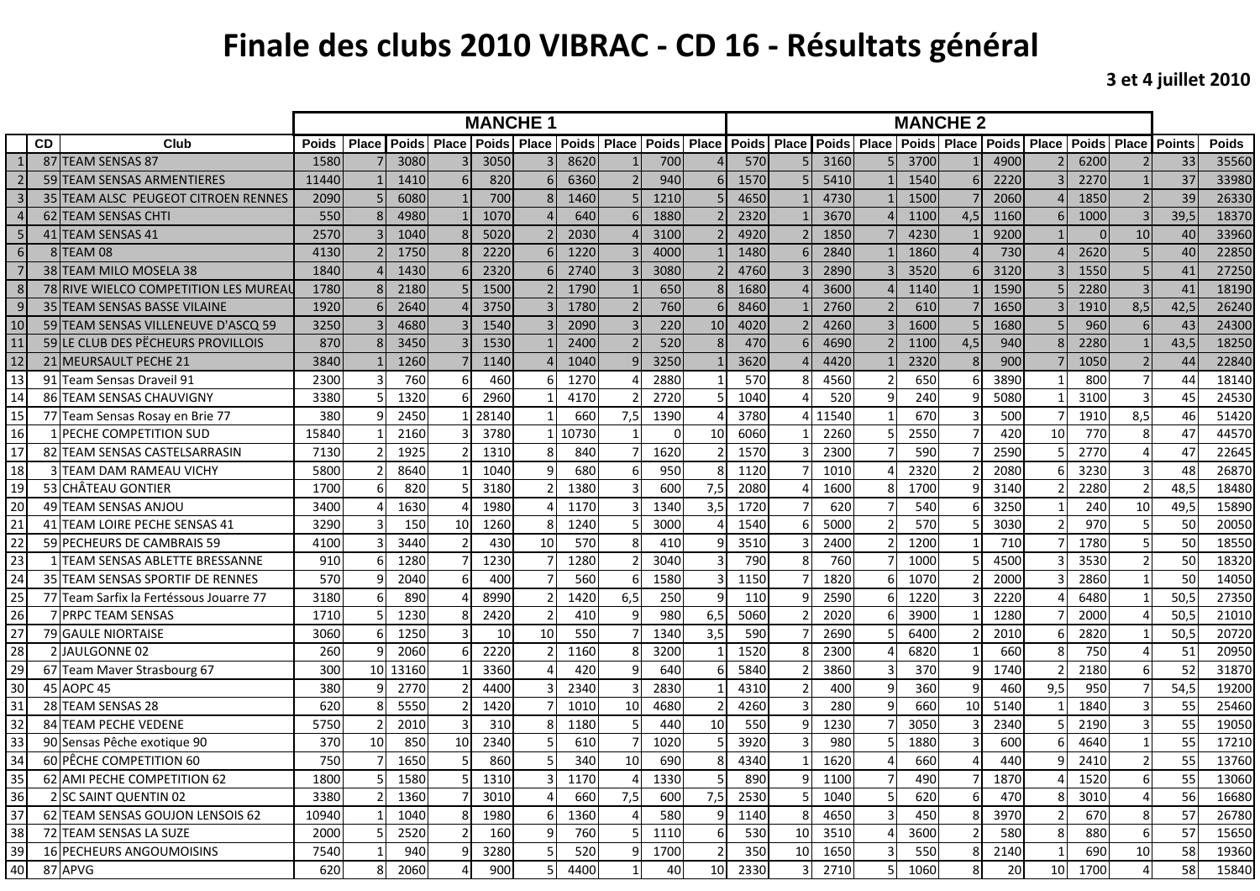## **Finale des clubs 2010 VIBRAC ‐ CD 16 ‐ Résultats général**

**3 et 4 juillet 2010**

|                 |           |                                         |              | <b>MANCHE 1</b> |              |              |                 |                                |       |                |              |                | <b>MANCHE 2</b> |       |              |              |              |     |                              |     |              |                          |               |              |
|-----------------|-----------|-----------------------------------------|--------------|-----------------|--------------|--------------|-----------------|--------------------------------|-------|----------------|--------------|----------------|-----------------|-------|--------------|--------------|--------------|-----|------------------------------|-----|--------------|--------------------------|---------------|--------------|
|                 | <b>CD</b> | Club                                    | <b>Poids</b> | <b>Place</b>    | <b>Poids</b> | <b>Place</b> | <b>Poids</b>    | <b>Place   Poids   Place  </b> |       |                | <b>Poids</b> | Place          | <b>Poids</b>    | Place | <b>Poids</b> | <b>Place</b> | <b>Poids</b> |     | <b>Place   Poids   Place</b> |     | <b>Poids</b> | <b>Place</b>             | <b>Points</b> | <b>Poids</b> |
|                 |           | 87 TEAM SENSAS 87                       | 1580         |                 | 3080         |              | <b>3050</b>     |                                | 8620  |                | 700          |                | 570             |       | 3160         |              | 3700         |     | 4900                         |     | 6200         |                          | 33            | 35560        |
|                 |           | 59 TEAM SENSAS ARMENTIERES              | 11440        |                 | 1410         |              | 820             | 6                              | 6360  |                | 940          |                | 1570            |       | 5410         |              | 1540         |     | 2220                         |     | 2270         |                          | 37            | 33980        |
| $\overline{3}$  |           | 35 TEAM ALSC PEUGEOT CITROEN RENNES     | 2090         |                 | 6080         |              | 700             | $\mathsf{R}$                   | 1460  |                | 1210         |                | 4650            |       | 4730         |              | 1500         |     | 2060                         |     | 1850         | $\overline{\phantom{0}}$ | 39            | 26330        |
|                 |           | 62 TEAM SENSAS CHTI                     | 550          |                 | 4980         |              | 1070            |                                | 640   | 6              | 1880         |                | 2320            |       | 3670         |              | 1100         | 4,5 | 1160                         | 6   | 1000         |                          | 39,5          | 18370        |
| -5              |           | 41 TEAM SENSAS 41                       | 2570         |                 | 1040         |              | 5020            |                                | 2030  |                | 3100         |                | 4920            |       | 1850         |              | 4230         |     | 9200                         |     |              | 10                       | 40            | 33960        |
| 6               |           | 8 TEAM 08                               | 4130         |                 | 1750         |              | 2220            |                                | 1220  |                | 4000         |                | 1480            |       | 2840         |              | 1860         |     | 730                          |     | 2620         | $\overline{5}$           | 40            | 22850        |
| $\overline{7}$  |           | 38 TEAM MILO MOSELA 38                  | 1840         |                 | 1430         |              | 2320            | 6                              | 2740  |                | 3080         |                | 4760            |       | 2890         |              | 3520         |     | 3120                         |     | 1550         | 5                        | 41            | 27250        |
| 8               |           | 78 RIVE WIELCO COMPETITION LES MUREAL   | 1780         |                 | 2180         |              | 1500            |                                | 1790  |                | 650          | 8              | 1680            |       | 3600         |              | 1140         |     | 1590                         |     | 2280         |                          | 41            | 18190        |
| $\mathbf{g}$    |           | 35 TEAM SENSAS BASSE VILAINE            | 1920         |                 | 2640         |              | 3750            |                                | 1780  |                | 760          |                | 8460            |       | 2760         |              | 610          |     | 1650                         |     | 1910         | 8,5                      | 42,5          | 26240        |
| 10              |           | 59 TEAM SENSAS VILLENEUVE D'ASCQ 59     | 3250         |                 | 4680         |              | 1540            |                                | 2090  |                | 220          | 10             | 4020            |       | 4260         |              | 1600         |     | 1680                         |     | 960          | 6                        | 43            | 24300        |
| 11              |           | 59 LE CLUB DES PECHEURS PROVILLOIS      | 870          |                 | 3450         |              | 1530            |                                | 2400  |                | 520          |                | 470             |       | 4690         |              | 1100         | 4,5 | 940                          |     | 2280         |                          | 43,5          | 18250        |
| 12              |           | 21 MEURSAULT PECHE 21                   | 3840         |                 | 1260         |              | 1140            |                                | 1040  | $\mathbf{q}$   | 3250         |                | 3620            |       | 4420         |              | 2320         | 8   | 900                          |     | 1050         | $\overline{2}$           | 44            | 22840        |
| 13              |           | 91 Team Sensas Draveil 91               | 2300         |                 | 760          |              | 460             | 6                              | 1270  |                | 2880         |                | 570             |       | 4560         |              | 650          |     | 3890                         |     | 800          | $\overline{7}$           | 44            | 18140        |
| 14              |           | 86 TEAM SENSAS CHAUVIGNY                | 3380         |                 | 1320         |              | 2960            |                                | 4170  |                | 2720         |                | 1040            |       | 520          |              | 240          |     | 5080                         |     | 3100         | $\overline{3}$           | 45            | 24530        |
| 15              |           | 77 Team Sensas Rosay en Brie 77         | 380          |                 | 2450         |              | 28140           |                                | 660   | 7,5            | 1390         |                | 3780            |       | 11540        |              | 670          |     | 500                          |     | 1910         | 8,5                      | 46            | 51420        |
| 16              |           | 1 PECHE COMPETITION SUD                 | 15840        |                 | 2160         |              | 378C            |                                | 10730 |                | $\Omega$     | 10             | 6060            |       | 2260         |              | 2550         |     | 420                          | 10  | 770          | 8                        | 47            | 44570        |
| 17              |           | 82 TEAM SENSAS CASTELSARRASIN           | 7130         |                 | 1925         |              | 1310            | 8                              | 840   |                | 1620         | $\mathcal{P}$  | 1570            |       | 2300         |              | 590          |     | 2590                         |     | 2770         | $\boldsymbol{\varDelta}$ | 47            | 22645        |
| 18              |           | <b>3ITEAM DAM RAMEAU VICHY</b>          | 5800         |                 | 8640         |              | 1040            | 9                              | 680   | 6              | 950          | 8              | 1120            |       | 1010         |              | 2320         |     | 2080                         |     | 3230         | 3                        | 48            | 26870        |
| 19              |           | 53 CHÂTEAU GONTIER                      | 1700         |                 | 820          |              | 3180            | 2                              | 1380  |                | 600          | 7,5            | 2080            |       | 1600         |              | 1700         |     | 3140                         |     | 2280         | $\mathfrak{p}$           | 48,5          | 18480        |
| 20              |           | 49 TEAM SENSAS ANJOU                    | 3400         |                 | 1630         |              | 1980            | Δ                              | 1170  | з              | 1340         | 3,5            | 1720            |       | 620          |              | 540          |     | 3250                         |     | 240          | 10                       | 49,5          | 15890        |
| $\overline{21}$ |           | 41 TEAM LOIRE PECHE SENSAS 41           | 3290         |                 | 150          | 10           | 1260            | 8                              | 1240  |                | 3000         |                | 1540            |       | 5000         |              | 570          |     | 3030                         |     | 970          |                          | 50            | 20050        |
| 22              |           | 59 PECHEURS DE CAMBRAIS 59              | 4100         |                 | 3440         |              | 43 <sub>C</sub> | 10                             | 570   | 8              | 410          |                | 3510            |       | 2400         |              | 1200         |     | 710                          |     | 1780         |                          | 50            | 18550        |
| 23              |           | TEAM SENSAS ABLETTE BRESSANNE           | 910          |                 | 1280         |              | 1230            | $\overline{7}$                 | 1280  | $\mathcal{P}$  | 3040         | ∍              | 790             |       | 760          |              | 1000         |     | 4500                         |     | 3530         | $\mathfrak{p}$           | 50            | 18320        |
| 24              |           | 35 TEAM SENSAS SPORTIF DE RENNES        | 570          |                 | 2040         |              | 40 <sub>C</sub> |                                | 560   | 6              | 1580         | $\overline{a}$ | 1150            |       | 1820         |              | 1070         |     | 2000                         |     | 2860         |                          | 50            | 14050        |
| 25              |           | 77 Team Sarfix la Fertéssous Jouarre 77 | 3180         |                 | 890          |              | 8990            | $\mathfrak{p}$                 | 1420  | 6,5            | 250          | 9              | 110             |       | 2590         |              | 1220         |     | 2220                         |     | 6480         |                          | 50.5          | 27350        |
| 26              |           | <b>7 PRPC TEAM SENSAS</b>               | 1710         |                 | 1230         |              | 2420            | $\mathcal{P}$                  | 410   | q              | 980          | 6,5            | 5060            |       | 2020         |              | 3900         |     | 1280                         |     | 2000         |                          | 50,5          | 21010        |
| 27              |           | <b>79 GAULE NIORTAISE</b>               | 3060         |                 | 1250         |              | 10              | 10                             | 550   | $\overline{7}$ | 1340         | 3,5            | 590             |       | 2690         |              | 6400         |     | 2010                         |     | 2820         |                          | 50,5          | 20720        |
| 28              |           | 2 JAULGONNE 02                          | 260          |                 | 2060         |              | 2220            | $\mathfrak{p}$                 | 1160  | 8              | 3200         |                | 1520            |       | 2300         |              | 6820         |     | 660                          |     | 750          |                          | 51            | 20950        |
| 29              |           | 67 Team Maver Strasbourg 67             | 300          | 10 <sup>1</sup> | 13160        |              | 3360            |                                | 420   | q              | 640          | 6              | 5840            |       | 3860         |              | 370          |     | 1740                         |     | 2180         | 6                        | 52            | 31870        |
| 30              |           | 45 AOPC 45                              | 380          |                 | 2770         |              | 4400            |                                | 2340  |                | 2830         |                | 4310            |       | 400          |              | 360          |     | 460                          | 9.5 | 950          |                          | 54,5          | 19200        |
| 31              |           | 28 TEAM SENSAS 28                       | 620          |                 | 5550         |              | 1420            |                                | 1010  | 10             | 4680         | $\mathcal{D}$  | 4260            |       | 280          |              | 660          | 10  | 5140                         |     | 1840         |                          | 55            | 25460        |
| 32              |           | 84 TEAM PECHE VEDENE                    | 5750         |                 | 2010         |              | 310             | 8                              | 1180  |                | 440          | 10             | 550             |       | 1230         |              | 3050         |     | 2340                         |     | 2190         | 3                        | 55            | 19050        |
| 33              |           | 90 Sensas Pêche exotique 90             | 370          | 10              | 850          | 10           | 2340            |                                | 610   |                | 1020         |                | 3920            |       | 980          |              | 1880         |     | 600                          |     | 4640         | $\mathbf{1}$             | 55            | 17210        |
| 34              |           | 60 PÊCHE COMPETITION 60                 | 750          |                 | 1650         |              | 860             | 5                              | 340   | 10             | 690          | 8              | 4340            |       | 1620         |              | 660          |     | 440                          |     | 2410         | $\overline{2}$           | 55            | 13760        |
| 35              |           | 62 AMI PECHE COMPETITION 62             | 1800         |                 | 1580         |              | 1310            | 3                              | 1170  |                | 1330         |                | 890             |       | 1100         |              | 490          |     | 1870                         |     | 1520         | 6                        | 55            | 13060        |
| 36              |           | 2 SC SAINT QUENTIN 02                   | 3380         |                 | 1360         |              | 3010            | Δ                              | 660   | 7,5            | 600          | 7,5            | 2530            |       | 1040         |              | 620          | հ   | 470                          |     | 3010         | $\Delta$                 | 56            | 16680        |
| 37              |           | 62 TEAM SENSAS GOUJON LENSOIS 62        | 10940        |                 | 1040         |              | 1980            | 6                              | 1360  |                | 580          |                | 1140            |       | 4650         |              | 450          |     | 3970                         |     | 670          | 8                        | 57            | 26780        |
| 38              |           | 72 TEAM SENSAS LA SUZE                  | 2000         |                 | 2520         |              | 160             | q                              | 760   |                | 1110         | -6             | 530             | 10    | 3510         |              | 3600         |     | 580                          |     | 880          | 6                        | 57            | 15650        |
| 39              |           | 16 PECHEURS ANGOUMOISINS                | 7540         |                 | 940          |              | 3280            |                                | 520   |                | 1700         |                | 350             | 10    | 1650         |              | 550          |     | 2140                         |     | 690          | 10                       | 58            | 19360        |
| 40              |           | 87 APVG                                 | 620          |                 | 2060         |              | 900             | 5                              | 4400  |                | 40           | 10             | 2330            |       | 2710         |              | 1060         |     | 20                           | 10  | 1700         | $\Lambda$                | 58            | 15840        |